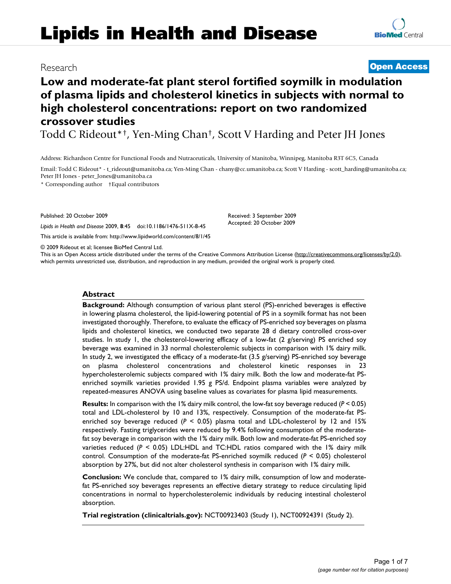# **Lipids in Health and Disease**

## **Low and moderate-fat plant sterol fortified soymilk in modulation of plasma lipids and cholesterol kinetics in subjects with normal to high cholesterol concentrations: report on two randomized crossover studies**

Todd C Rideout\*†, Yen-Ming Chan†, Scott V Harding and Peter JH Jones

Address: Richardson Centre for Functional Foods and Nutraceuticals, University of Manitoba, Winnipeg, Manitoba R3T 6C5, Canada

Email: Todd C Rideout\* - t\_rideout@umanitoba.ca; Yen-Ming Chan - chany@cc.umanitoba.ca; Scott V Harding - scott\_harding@umanitoba.ca; Peter JH Jones - peter\_Jones@umanitoba.ca

\* Corresponding author †Equal contributors

Published: 20 October 2009

*Lipids in Health and Disease* 2009, **8**:45 doi:10.1186/1476-511X-8-45

[This article is available from: http://www.lipidworld.com/content/8/1/45](http://www.lipidworld.com/content/8/1/45)

© 2009 Rideout et al; licensee BioMed Central Ltd.

This is an Open Access article distributed under the terms of the Creative Commons Attribution License [\(http://creativecommons.org/licenses/by/2.0\)](http://creativecommons.org/licenses/by/2.0), which permits unrestricted use, distribution, and reproduction in any medium, provided the original work is properly cited.

#### **Abstract**

**Background:** Although consumption of various plant sterol (PS)-enriched beverages is effective in lowering plasma cholesterol, the lipid-lowering potential of PS in a soymilk format has not been investigated thoroughly. Therefore, to evaluate the efficacy of PS-enriched soy beverages on plasma lipids and cholesterol kinetics, we conducted two separate 28 d dietary controlled cross-over studies. In study 1, the cholesterol-lowering efficacy of a low-fat (2 g/serving) PS enriched soy beverage was examined in 33 normal cholesterolemic subjects in comparison with 1% dairy milk. In study 2, we investigated the efficacy of a moderate-fat (3.5 g/serving) PS-enriched soy beverage on plasma cholesterol concentrations and cholesterol kinetic responses in 23 hypercholesterolemic subjects compared with 1% dairy milk. Both the low and moderate-fat PSenriched soymilk varieties provided 1.95 g PS/d. Endpoint plasma variables were analyzed by repeated-measures ANOVA using baseline values as covariates for plasma lipid measurements.

**Results:** In comparison with the 1% dairy milk control, the low-fat soy beverage reduced (*P* < 0.05) total and LDL-cholesterol by 10 and 13%, respectively. Consumption of the moderate-fat PSenriched soy beverage reduced (*P* < 0.05) plasma total and LDL-cholesterol by 12 and 15% respectively. Fasting triglycerides were reduced by 9.4% following consumption of the moderatefat soy beverage in comparison with the 1% dairy milk. Both low and moderate-fat PS-enriched soy varieties reduced  $(P < 0.05)$  LDL:HDL and TC:HDL ratios compared with the 1% dairy milk control. Consumption of the moderate-fat PS-enriched soymilk reduced (*P* < 0.05) cholesterol absorption by 27%, but did not alter cholesterol synthesis in comparison with 1% dairy milk.

**Conclusion:** We conclude that, compared to 1% dairy milk, consumption of low and moderatefat PS-enriched soy beverages represents an effective dietary strategy to reduce circulating lipid concentrations in normal to hypercholesterolemic individuals by reducing intestinal cholesterol absorption.

**Trial registration (clinicaltrials.gov):** NCT00923403 (Study 1), NCT00924391 (Study 2).

### Research **[Open Access](http://www.biomedcentral.com/info/about/charter/)**

Received: 3 September 2009 Accepted: 20 October 2009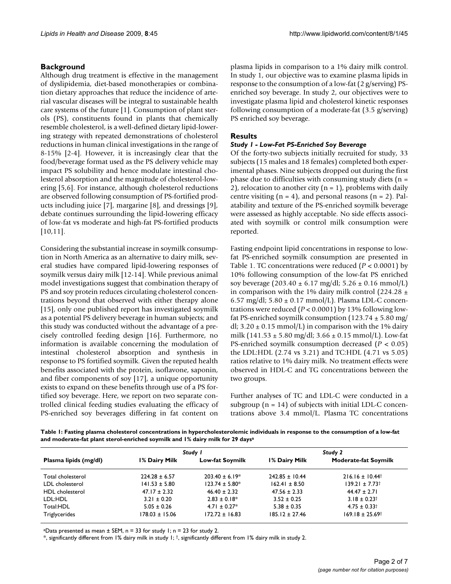#### **Background**

Although drug treatment is effective in the management of dyslipidemia, diet-based monotherapies or combination dietary approaches that reduce the incidence of arterial vascular diseases will be integral to sustainable health care systems of the future [\[1\]](#page-5-0). Consumption of plant sterols (PS), constituents found in plants that chemically resemble cholesterol, is a well-defined dietary lipid-lowering strategy with repeated demonstrations of cholesterol reductions in human clinical investigations in the range of 8-15% [\[2-](#page-5-1)[4](#page-5-2)]. However, it is increasingly clear that the food/beverage format used as the PS delivery vehicle may impact PS solubility and hence modulate intestinal cholesterol absorption and the magnitude of cholesterol-lowering [[5](#page-5-3),[6](#page-5-4)]. For instance, although cholesterol reductions are observed following consumption of PS-fortified products including juice [[7](#page-5-5)], margarine [\[8](#page-5-6)], and dressings [[9](#page-5-7)], debate continues surrounding the lipid-lowering efficacy of low-fat vs moderate and high-fat PS-fortified products [[10](#page-5-8),[11\]](#page-5-9).

Considering the substantial increase in soymilk consumption in North America as an alternative to dairy milk, several studies have compared lipid-lowering responses of soymilk versus dairy milk [[12-](#page-6-0)[14\]](#page-6-1). While previous animal model investigations suggest that combination therapy of PS and soy protein reduces circulating cholesterol concentrations beyond that observed with either therapy alone [[15](#page-6-2)], only one published report has investigated soymilk as a potential PS delivery beverage in human subjects; and this study was conducted without the advantage of a precisely controlled feeding design [[16\]](#page-6-3). Furthermore, no information is available concerning the modulation of intestinal cholesterol absorption and synthesis in response to PS fortified soymilk. Given the reputed health benefits associated with the protein, isoflavone, saponin, and fiber components of soy [[17](#page-6-4)], a unique opportunity exists to expand on these benefits through use of a PS fortified soy beverage. Here, we report on two separate controlled clinical feeding studies evaluating the efficacy of PS-enriched soy beverages differing in fat content on plasma lipids in comparison to a 1% dairy milk control. In study 1, our objective was to examine plasma lipids in response to the consumption of a low-fat (2 g/serving) PSenriched soy beverage. In study 2, our objectives were to investigate plasma lipid and cholesterol kinetic responses following consumption of a moderate-fat (3.5 g/serving) PS enriched soy beverage.

#### **Results**

#### *Study 1 - Low-Fat PS-Enriched Soy Beverage*

Of the forty-two subjects initially recruited for study, 33 subjects (15 males and 18 females) completed both experimental phases. Nine subjects dropped out during the first phase due to difficulties with consuming study diets ( $n =$ 2), relocation to another city  $(n = 1)$ , problems with daily centre visiting  $(n = 4)$ , and personal reasons  $(n = 2)$ . Palatability and texture of the PS-enriched soymilk beverage were assessed as highly acceptable. No side effects associated with soymilk or control milk consumption were reported.

Fasting endpoint lipid concentrations in response to lowfat PS-enriched soymilk consumption are presented in Table [1](#page-1-0). TC concentrations were reduced (*P* < 0.0001) by 10% following consumption of the low-fat PS enriched soy beverage  $(203.40 \pm 6.17 \text{ mg/d}l; 5.26 \pm 0.16 \text{ mmol/L})$ in comparison with the 1% dairy milk control (224.28  $\pm$ 6.57 mg/dl;  $5.80 \pm 0.17$  mmol/L). Plasma LDL-C concentrations were reduced (*P* < 0.0001) by 13% following lowfat PS-enriched soymilk consumption  $(123.74 \pm 5.80 \text{ mg})$ dl;  $3.20 \pm 0.15$  mmol/L) in comparison with the 1% dairy milk (141.53  $\pm$  5.80 mg/dl; 3.66  $\pm$  0.15 mmol/L). Low-fat PS-enriched soymilk consumption decreased (*P* < 0.05) the LDL:HDL (2.74 vs 3.21) and TC:HDL (4.71 vs 5.05) ratios relative to 1% dairy milk. No treatment effects were observed in HDL-C and TG concentrations between the two groups.

Further analyses of TC and LDL-C were conducted in a subgroup  $(n = 14)$  of subjects with initial LDL-C concentrations above 3.4 mmol/L. Plasma TC concentrations

<span id="page-1-0"></span>**Table 1: Fasting plasma cholesterol concentrations in hypercholesterolemic individuals in response to the consumption of a low-fat and moderate-fat plant sterol-enriched soymilk and 1% dairy milk for 29 daysa**

|                        | Study I           |                        | Study 2            |                                 |
|------------------------|-------------------|------------------------|--------------------|---------------------------------|
| Plasma lipids (mg/dl)  | I% Dairy Milk     | <b>Low-fat Soymilk</b> | I% Dairy Milk      | <b>Moderate-fat Soymilk</b>     |
| Total cholesterol      | $224.28 \pm 6.57$ | $203.40 \pm 6.19*$     | $242.85 \pm 10.44$ | $216.16 \pm 10.44^{\dagger}$    |
| LDL cholesterol        | $141.53 \pm 5.80$ | $123.74 \pm 5.80^*$    | $162.41 \pm 8.50$  | $139.21 \pm 7.73$ t             |
| <b>HDL</b> cholesterol | $47.17 \pm 2.32$  | $46.40 \pm 2.32$       | $47.56 \pm 2.33$   | $44.47 \pm 2.71$                |
| LDL:HDL                | $3.21 \pm 0.20$   | $2.83 \pm 0.18^*$      | $3.52 \pm 0.25$    | $3.18 \pm 0.23^{\dagger}$       |
| Total:HDL              | $5.05 \pm 0.26$   | $4.71 \pm 0.27$ *      | $5.38 \pm 0.35$    | $4.75 \pm 0.33$ t               |
| Triglycerides          | 178.03 ± 15.06    | $172.72 \pm 16.83$     | $185.12 \pm 27.46$ | $169.18 \pm 25.69$ <sup>†</sup> |

<sup>a</sup>Data presented as mean  $\pm$  SEM, n = 33 for study 1; n = 23 for study 2.

\*, significantly different from 1% dairy milk in study 1; †, significantly different from 1% dairy milk in study 2.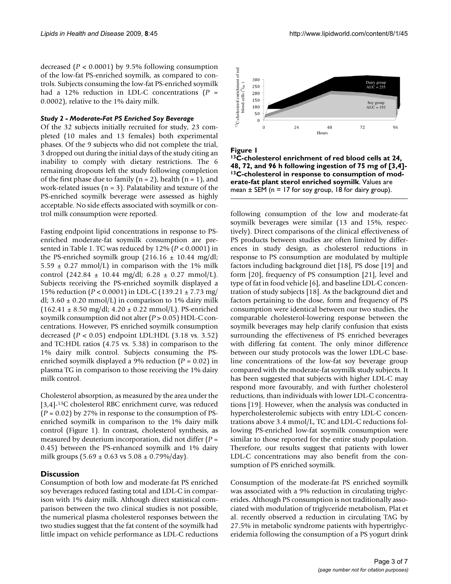decreased (*P* < 0.0001) by 9.5% following consumption of the low-fat PS-enriched soymilk, as compared to controls. Subjects consuming the low-fat PS-enriched soymilk had a 12% reduction in LDL-C concentrations (*P* = 0.0002), relative to the 1% dairy milk.

#### *Study 2 - Moderate-Fat PS Enriched Soy Beverage*

Of the 32 subjects initially recruited for study, 23 completed (10 males and 13 females) both experimental phases. Of the 9 subjects who did not complete the trial, 3 dropped out during the initial days of the study citing an inability to comply with dietary restrictions. The 6 remaining dropouts left the study following completion of the first phase due to family ( $n = 2$ ), health ( $n = 1$ ), and work-related issues ( $n = 3$ ). Palatability and texture of the PS-enriched soymilk beverage were assessed as highly acceptable. No side effects associated with soymilk or control milk consumption were reported.

Fasting endpoint lipid concentrations in response to PSenriched moderate-fat soymilk consumption are presented in Table [1.](#page-1-0) TC was reduced by 12% (*P* < 0.0001) in the PS-enriched soymilk group  $(216.16 \pm 10.44 \text{ mg/dl})$ ;  $5.59 \pm 0.27$  mmol/L) in comparison with the 1% milk control (242.84  $\pm$  10.44 mg/dl; 6.28  $\pm$  0.27 mmol/L). Subjects receiving the PS-enriched soymilk displayed a 15% reduction (*P* < 0.0001) in LDL-C (139.21 ± 7.73 mg/ dl;  $3.60 \pm 0.20$  mmol/L) in comparison to 1% dairy milk  $(162.41 \pm 8.50 \text{ mg/d}$ ;  $4.20 \pm 0.22 \text{ mmol/L}$ ). PS-enriched soymilk consumption did not alter (*P* > 0.05) HDL-C concentrations. However, PS enriched soymilk consumption decreased (*P* < 0.05) endpoint LDL:HDL (3.18 vs. 3.52) and TC:HDL ratios (4.75 vs. 5.38) in comparison to the 1% dairy milk control. Subjects consuming the PSenriched soymilk displayed a 9% reduction (*P* = 0.02) in plasma TG in comparison to those receiving the 1% dairy milk control.

Cholesterol absorption, as measured by the area under the [3,4]-13C cholesterol RBC enrichment curve, was reduced  $(P = 0.02)$  by 27% in response to the consumption of PSenriched soymilk in comparison to the 1% dairy milk control (Figure [1](#page-2-0)). In contrast, cholesterol synthesis, as measured by deuterium incorporation, did not differ (*P* = 0.45) between the PS-enhanced soymilk and 1% dairy milk groups  $(5.69 \pm 0.63 \text{ vs } 5.08 \pm 0.79\%/\text{day})$ .

#### **Discussion**

Consumption of both low and moderate-fat PS enriched soy beverages reduced fasting total and LDL-C in comparison with 1% dairy milk. Although direct statistical comparison between the two clinical studies is not possible, the numerical plasma cholesterol responses between the two studies suggest that the fat content of the soymilk had little impact on vehicle performance as LDL-C reductions

<span id="page-2-0"></span>

Figure I

**13C-cholesterol enrichment of red blood cells at 24, 48, 72, and 96 h following ingestion of 75 mg of [3,4]- 13C-cholesterol in response to consumption of moderate-fat plant sterol enriched soymilk**. Values are

following consumption of the low and moderate-fat soymilk beverages were similar (13 and 15%, respectively). Direct comparisons of the clinical effectiveness of PS products between studies are often limited by differences in study design, as cholesterol reductions in response to PS consumption are modulated by multiple factors including background diet [\[18\]](#page-6-5), PS dose [[19\]](#page-6-6) and form [[20\]](#page-6-7), frequency of PS consumption [[21\]](#page-6-8), level and type of fat in food vehicle [[6](#page-5-4)], and baseline LDL-C concentration of study subjects [\[18](#page-6-5)]. As the background diet and factors pertaining to the dose, form and frequency of PS consumption were identical between our two studies, the comparable cholesterol-lowering response between the soymilk beverages may help clarify confusion that exists surrounding the effectiveness of PS enriched beverages with differing fat content. The only minor difference between our study protocols was the lower LDL-C baseline concentrations of the low-fat soy beverage group compared with the moderate-fat soymilk study subjects. It has been suggested that subjects with higher LDL-C may respond more favourably, and with further cholesterol reductions, than individuals with lower LDL-C concentrations [\[19](#page-6-6)]. However, when the analysis was conducted in hypercholesterolemic subjects with entry LDL-C concentrations above 3.4 mmol/L, TC and LDL-C reductions following PS-enriched low-fat soymilk consumption were similar to those reported for the entire study population. Therefore, our results suggest that patients with lower LDL-C concentrations may also benefit from the consumption of PS enriched soymilk.

Consumption of the moderate-fat PS enriched soymilk was associated with a 9% reduction in circulating triglycerides. Although PS consumption is not traditionally associated with modulation of triglyceride metabolism, Plat et al. recently observed a reduction in circulating TAG by 27.5% in metabolic syndrome patients with hypertriglyceridemia following the consumption of a PS yogurt drink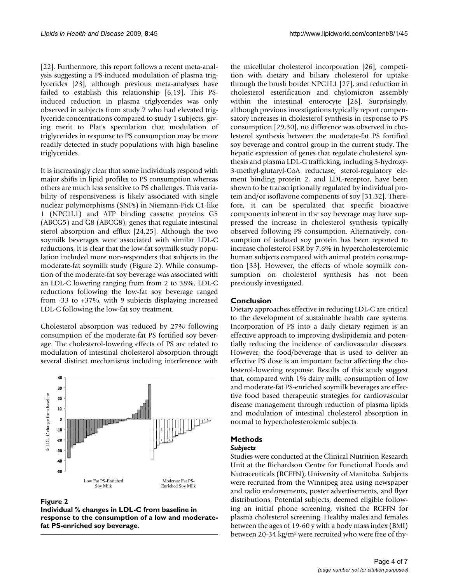[[22](#page-6-9)]. Furthermore, this report follows a recent meta-analysis suggesting a PS-induced modulation of plasma triglycerides [\[23](#page-6-10)], although previous meta-analyses have failed to establish this relationship [\[6](#page-5-4),[19\]](#page-6-6). This PSinduced reduction in plasma triglycerides was only observed in subjects from study 2 who had elevated triglyceride concentrations compared to study 1 subjects, giving merit to Plat's speculation that modulation of triglycerides in response to PS consumption may be more readily detected in study populations with high baseline triglycerides.

It is increasingly clear that some individuals respond with major shifts in lipid profiles to PS consumption whereas others are much less sensitive to PS challenges. This variability of responsiveness is likely associated with single nuclear polymorphisms (SNPs) in Niemann-Pick C1-like 1 (NPC1L1) and ATP binding cassette proteins G5 (ABCG5) and G8 (ABCG8), genes that regulate intestinal sterol absorption and efflux [[24](#page-6-11),[25\]](#page-6-12). Although the two soymilk beverages were associated with similar LDL-C reductions, it is clear that the low-fat soymilk study population included more non-responders that subjects in the moderate-fat soymilk study (Figure [2](#page-3-0)). While consumption of the moderate-fat soy beverage was associated with an LDL-C lowering ranging from from 2 to 38%, LDL-C reductions following the low-fat soy beverage ranged from -33 to +37%, with 9 subjects displaying increased LDL-C following the low-fat soy treatment.

Cholesterol absorption was reduced by 27% following consumption of the moderate-fat PS fortified soy beverage. The cholesterol-lowering effects of PS are related to modulation of intestinal cholesterol absorption through several distinct mechanisms including interference with

<span id="page-3-0"></span>

#### Figure 2

**Individual % changes in LDL-C from baseline in response to the consumption of a low and moderate-** the micellular cholesterol incorporation [\[26](#page-6-13)], competition with dietary and biliary cholesterol for uptake through the brush border NPC1L1 [\[27](#page-6-14)], and reduction in cholesterol esterification and chylomicron assembly within the intestinal enterocyte [\[28](#page-6-15)]. Surprisingly, although previous investigations typically report compensatory increases in cholesterol synthesis in response to PS consumption [\[29](#page-6-16),[30\]](#page-6-17), no difference was observed in cholesterol synthesis between the moderate-fat PS fortified soy beverage and control group in the current study. The hepatic expression of genes that regulate cholesterol synthesis and plasma LDL-C trafficking, including 3-hydroxy-3-methyl-glutaryl-CoA reductase, sterol-regulatory element binding protein 2, and LDL-receptor, have been shown to be transcriptionally regulated by individual protein and/or isoflavone components of soy [[31,](#page-6-18)[32](#page-6-19)]. Therefore, it can be speculated that specific bioactive components inherent in the soy beverage may have suppressed the increase in cholesterol synthesis typically observed following PS consumption. Alternatively, consumption of isolated soy protein has been reported to increase cholesterol FSR by 7.6% in hypercholesterolemic human subjects compared with animal protein consumption [\[33](#page-6-20)]. However, the effects of whole soymilk consumption on cholesterol synthesis has not been previously investigated.

#### **Conclusion**

Dietary approaches effective in reducing LDL-C are critical to the development of sustainable health care systems. Incorporation of PS into a daily dietary regimen is an effective approach to improving dyslipidemia and potentially reducing the incidence of cardiovascular diseases. However, the food/beverage that is used to deliver an effective PS dose is an important factor affecting the cholesterol-lowering response. Results of this study suggest that, compared with 1% dairy milk, consumption of low and moderate-fat PS-enriched soymilk beverages are effective food based therapeutic strategies for cardiovascular disease management through reduction of plasma lipids and modulation of intestinal cholesterol absorption in normal to hypercholesterolemic subjects.

#### **Methods**

#### *Subjects*

Studies were conducted at the Clinical Nutrition Research Unit at the Richardson Centre for Functional Foods and Nutraceuticals (RCFFN), University of Manitoba. Subjects were recruited from the Winnipeg area using newspaper and radio endorsements, poster advertisements, and flyer distributions. Potential subjects, deemed eligible following an initial phone screening, visited the RCFFN for plasma cholesterol screening. Healthy males and females between the ages of 19-60 y with a body mass index (BMI) between 20-34 kg/m2 were recruited who were free of thy-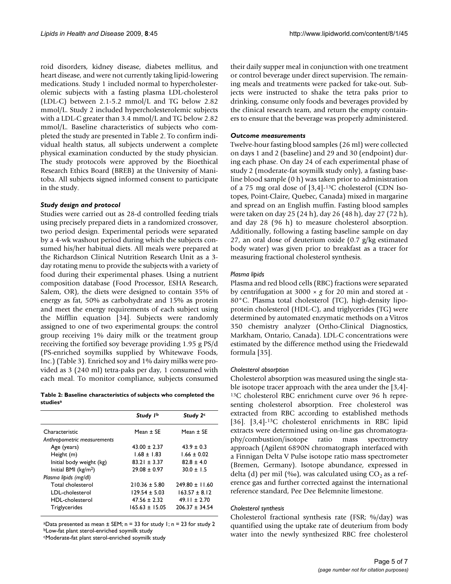roid disorders, kidney disease, diabetes mellitus, and heart disease, and were not currently taking lipid-lowering medications. Study 1 included normal to hypercholesterolemic subjects with a fasting plasma LDL-cholesterol (LDL-C) between 2.1-5.2 mmol/L and TG below 2.82 mmol/L. Study 2 included hypercholesterolemic subjects with a LDL-C greater than 3.4 mmol/L and TG below 2.82 mmol/L. Baseline characteristics of subjects who completed the study are presented in Table [2.](#page-4-0) To confirm individual health status, all subjects underwent a complete physical examination conducted by the study physician. The study protocols were approved by the Bioethical Research Ethics Board (BREB) at the University of Manitoba. All subjects signed informed consent to participate in the study.

#### *Study design and protocol*

Studies were carried out as 28-d controlled feeding trials using precisely prepared diets in a randomized crossover, two period design. Experimental periods were separated by a 4-wk washout period during which the subjects consumed his/her habitual diets. All meals were prepared at the Richardson Clinical Nutrition Research Unit as a 3 day rotating menu to provide the subjects with a variety of food during their experimental phases. Using a nutrient composition database (Food Processor, ESHA Research, Salem, OR), the diets were designed to contain 35% of energy as fat, 50% as carbohydrate and 15% as protein and meet the energy requirements of each subject using the Mifflin equation [\[34](#page-6-21)]. Subjects were randomly assigned to one of two experimental groups: the control group receiving 1% dairy milk or the treatment group receiving the fortified soy beverage providing 1.95 g PS/d (PS-enriched soymilks supplied by Whitewave Foods, Inc.) (Table [3\)](#page-5-10). Enriched soy and 1% dairy milks were provided as 3 (240 ml) tetra-paks per day, 1 consumed with each meal. To monitor compliance, subjects consumed

<span id="page-4-0"></span>

|          | Table 2: Baseline characteristics of subjects who completed the |  |
|----------|-----------------------------------------------------------------|--|
| studiesª |                                                                 |  |

| Study 1b         | Study 2 <sup>c</sup> |
|------------------|----------------------|
| Mean $\pm$ SE    | Mean $+$ SF          |
|                  |                      |
| $43.00 + 2.37$   | $43.9 + 0.3$         |
| $1.68 \pm 1.83$  | $1.66 \pm 0.02$      |
| $83.21 + 3.37$   | $82.8 + 4.0$         |
| $29.08 + 0.97$   | $30.0 + 1.5$         |
|                  |                      |
| $210.36 + 5.80$  | $749.80 + 11.60$     |
| $129.54 + 5.03$  | $163.57 + 8.12$      |
| $47.56 \pm 2.32$ | $49.11 + 2.70$       |
| 165.63 + 15.05   | $206.37 + 34.54$     |
|                  |                      |

<sup>a</sup>Data presented as mean  $\pm$  SEM; n = 33 for study 1; n = 23 for study 2 bLow-fat plant sterol-enriched soymilk study

cModerate-fat plant sterol-enriched soymilk study

their daily supper meal in conjunction with one treatment or control beverage under direct supervision. The remaining meals and treatments were packed for take-out. Subjects were instructed to shake the tetra paks prior to drinking, consume only foods and beverages provided by the clinical research team, and return the empty containers to ensure that the beverage was properly administered.

#### *Outcome measurements*

Twelve-hour fasting blood samples (26 ml) were collected on days 1 and 2 (baseline) and 29 and 30 (endpoint) during each phase. On day 24 of each experimental phase of study 2 (moderate-fat soymilk study only), a fasting baseline blood sample (0 h) was taken prior to administration of a 75 mg oral dose of [3,4]-13C cholesterol (CDN Isotopes, Point-Claire, Quebec, Canada) mixed in margarine and spread on an English muffin. Fasting blood samples were taken on day 25 (24 h), day 26 (48 h), day 27 (72 h), and day 28 (96 h) to measure cholesterol absorption. Additionally, following a fasting baseline sample on day 27, an oral dose of deuterium oxide (0.7 g/kg estimated body water) was given prior to breakfast as a tracer for measuring fractional cholesterol synthesis.

#### *Plasma lipids*

Plasma and red blood cells (RBC) fractions were separated by centrifugation at 3000 × *g* for 20 min and stored at - 80°C. Plasma total cholesterol (TC), high-density lipoprotein cholesterol (HDL-C), and triglycerides (TG) were determined by automated enzymatic methods on a Vitros 350 chemistry analyzer (Ortho-Clinical Diagnostics, Markham, Ontario, Canada). LDL-C concentrations were estimated by the difference method using the Friedewald formula [[35\]](#page-6-22).

#### *Cholesterol absorption*

Cholesterol absorption was measured using the single stable isotope tracer approach with the area under the [3,4]- 13C cholesterol RBC enrichment curve over 96 h representing cholesterol absorption. Free cholesterol was extracted from RBC according to established methods [[36](#page-6-23)]. [3,4]<sup>-13</sup>C cholesterol enrichments in RBC lipid extracts were determined using on-line gas chromatography/combustion/isotope ratio mass spectrometry approach (Agilent 6890N chromatograph interfaced with a Finnigan Delta V Pulse isotope ratio mass spectrometer (Bremen, Germany). Isotope abundance, expressed in delta (d) per mil (‰), was calculated using  $CO<sub>2</sub>$  as a reference gas and further corrected against the international reference standard, Pee Dee Belemnite limestone.

#### *Cholesterol synthesis*

Cholesterol fractional synthesis rate (FSR; %/day) was quantified using the uptake rate of deuterium from body water into the newly synthesized RBC free cholesterol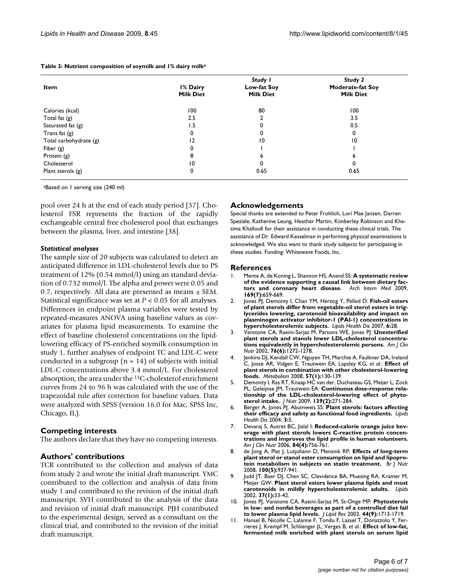| Item                   | I% Dairy<br><b>Milk Diet</b> | Study I<br>Low-fat Soy<br><b>Milk Diet</b> | Study 2<br><b>Moderate-fat Soy</b><br><b>Milk Diet</b> |
|------------------------|------------------------------|--------------------------------------------|--------------------------------------------------------|
| Calories (kcal)        | 100                          | 80                                         | 100                                                    |
| Total fat $(g)$        | 2.5                          |                                            | 3.5                                                    |
| Saturated fat $(g)$    | 1.5                          |                                            | 0.5                                                    |
| Trans fat $(g)$        | 0                            |                                            | 0                                                      |
| Total carbohydrate (g) | 12                           | $\overline{10}$                            | 10                                                     |
| Fiber $(g)$            | 0                            |                                            |                                                        |
| Protein (g)            | 8                            | ь                                          | ь                                                      |
| Cholesterol            | $\overline{10}$              | $\Omega$                                   | 0                                                      |
| Plant sterols $(g)$    | 0                            | 0.65                                       | 0.65                                                   |

<span id="page-5-10"></span>**Table 3: Nutrient composition of soymilk and 1% dairy milka**

aBased on 1 serving size (240 ml)

pool over 24 h at the end of each study period [[37\]](#page-6-24). Cholesterol FSR represents the fraction of the rapidly exchangeable central free cholesterol pool that exchanges between the plasma, liver, and intestine [\[38\]](#page-6-25).

#### *Statistical analyses*

The sample size of 20 subjects was calculated to detect an anticipated difference in LDL-cholesterol levels due to PS treatment of 12% (0.54 mmol/l) using an standard deviation of 0.732 mmol/l. The alpha and power were 0.05 and 0.7, respectively. All data are presented as means  $\pm$  SEM. Statistical significance was set at *P* < 0.05 for all analyses. Differences in endpoint plasma variables were tested by repeated-measures ANOVA using baseline values as covariates for plasma lipid measurements. To examine the effect of baseline cholesterol concentrations on the lipidlowering efficacy of PS-enriched soymilk consumption in study 1, further analyses of endpoint TC and LDL-C were conducted in a subgroup ( $n = 14$ ) of subjects with initial LDL-C concentrations above 3.4 mmol/L. For cholesterol absorption, the area under the 13C-cholesterol enrichment curves from 24 to 96 h was calculated with the use of the trapezoidal rule after correction for baseline values. Data were analyzed with SPSS (version 16.0 for Mac, SPSS Inc, Chicago, IL).

#### **Competing interests**

The authors declare that they have no competing interests.

#### **Authors' contributions**

TCR contributed to the collection and analysis of data from study 2 and wrote the initial draft manuscript. YMC contributed to the collection and analysis of data from study 1 and contributed to the revision of the initial draft manuscript. SVH contributed to the analysis of the data and revision of initial draft manuscript. PJH contributed to the experimental design, served as a consultant on the clinical trial, and contributed to the revision of the initial draft manuscript.

#### **Acknowledgements**

Special thanks are extended to Peter Frohlich, Lori Mae Janzen, Darren Speziale, Katherine Leung, Heather Martin, Kimberley Robinson and Khatima Khalloufi for their assistance in conducting these clinical trials. The assistance of Dr. Edward Kesselman in performing physical examinations is acknowledged. We also want to thank study subjects for participating in these studies. Funding: Whitewave Foods, Inc.

#### **References**

- <span id="page-5-0"></span>1. Mente A, de Koning L, Shannon HS, Anand SS: **[A systematic review](http://www.ncbi.nlm.nih.gov/entrez/query.fcgi?cmd=Retrieve&db=PubMed&dopt=Abstract&list_uids=19364995) [of the evidence supporting a causal link between dietary fac](http://www.ncbi.nlm.nih.gov/entrez/query.fcgi?cmd=Retrieve&db=PubMed&dopt=Abstract&list_uids=19364995)[tors and coronary heart disease.](http://www.ncbi.nlm.nih.gov/entrez/query.fcgi?cmd=Retrieve&db=PubMed&dopt=Abstract&list_uids=19364995)** *Arch Intern Med* 2009, **169(7):**659-669.
- <span id="page-5-1"></span>2. Jones PJ, Demonty I, Chan YM, Herzog Y, Pelled D: **[Fish-oil esters](http://www.ncbi.nlm.nih.gov/entrez/query.fcgi?cmd=Retrieve&db=PubMed&dopt=Abstract&list_uids=17961204) of plant sterols differ from vegetable-oil sterol esters in trig[lycerides lowering, carotenoid bioavailability and impact on](http://www.ncbi.nlm.nih.gov/entrez/query.fcgi?cmd=Retrieve&db=PubMed&dopt=Abstract&list_uids=17961204) plasminogen activator inhibitor-1 (PAI-1) concentrations in [hypercholesterolemic subjects.](http://www.ncbi.nlm.nih.gov/entrez/query.fcgi?cmd=Retrieve&db=PubMed&dopt=Abstract&list_uids=17961204)** *Lipids Health Dis* 2007, **6:**28.
- 3. Vanstone CA, Raeini-Sarjaz M, Parsons WE, Jones PJ: **[Unesterified](http://www.ncbi.nlm.nih.gov/entrez/query.fcgi?cmd=Retrieve&db=PubMed&dopt=Abstract&list_uids=12450893) [plant sterols and stanols lower LDL-cholesterol concentra](http://www.ncbi.nlm.nih.gov/entrez/query.fcgi?cmd=Retrieve&db=PubMed&dopt=Abstract&list_uids=12450893)[tions equivalently in hypercholesterolemic persons.](http://www.ncbi.nlm.nih.gov/entrez/query.fcgi?cmd=Retrieve&db=PubMed&dopt=Abstract&list_uids=12450893)** *Am J Clin Nutr* 2002, **76(6):**1272-1278.
- <span id="page-5-2"></span>4. Jenkins DJ, Kendall CW, Nguyen TH, Marchie A, Faulkner DA, Ireland C, Josse AR, Vidgen E, Trautwein EA, Lapsley KG, *et al.*: **[Effect of](http://www.ncbi.nlm.nih.gov/entrez/query.fcgi?cmd=Retrieve&db=PubMed&dopt=Abstract&list_uids=18078870) [plant sterols in combination with other cholesterol-lowering](http://www.ncbi.nlm.nih.gov/entrez/query.fcgi?cmd=Retrieve&db=PubMed&dopt=Abstract&list_uids=18078870) [foods.](http://www.ncbi.nlm.nih.gov/entrez/query.fcgi?cmd=Retrieve&db=PubMed&dopt=Abstract&list_uids=18078870)** *Metabolism* 2008, **57(1):**130-139.
- <span id="page-5-3"></span>5. Demonty I, Ras RT, Knaap HC van der, Duchateau GS, Meijer L, Zock PL, Geleijnse JM, Trautwein EA: **[Continuous dose-response rela](http://www.ncbi.nlm.nih.gov/entrez/query.fcgi?cmd=Retrieve&db=PubMed&dopt=Abstract&list_uids=19091798)[tionship of the LDL-cholesterol-lowering effect of phyto](http://www.ncbi.nlm.nih.gov/entrez/query.fcgi?cmd=Retrieve&db=PubMed&dopt=Abstract&list_uids=19091798)[sterol intake.](http://www.ncbi.nlm.nih.gov/entrez/query.fcgi?cmd=Retrieve&db=PubMed&dopt=Abstract&list_uids=19091798)** *J Nutr* 2009, **139(2):**271-284.
- <span id="page-5-4"></span>6. Berger A, Jones PJ, Abumweis SS: **[Plant sterols: factors affecting](http://www.ncbi.nlm.nih.gov/entrez/query.fcgi?cmd=Retrieve&db=PubMed&dopt=Abstract&list_uids=15070410) [their efficacy and safety as functional food ingredients.](http://www.ncbi.nlm.nih.gov/entrez/query.fcgi?cmd=Retrieve&db=PubMed&dopt=Abstract&list_uids=15070410)** *Lipids Health Dis* 2004, **3:**5.
- <span id="page-5-5"></span>7. Devaraj S, Autret BC, Jialal I: **[Reduced-calorie orange juice bev](http://www.ncbi.nlm.nih.gov/entrez/query.fcgi?cmd=Retrieve&db=PubMed&dopt=Abstract&list_uids=17023701)erage with plant sterols lowers C-reactive protein concen[trations and improves the lipid profile in human volunteers.](http://www.ncbi.nlm.nih.gov/entrez/query.fcgi?cmd=Retrieve&db=PubMed&dopt=Abstract&list_uids=17023701)** *Am J Clin Nutr* 2006, **84(4):**756-761.
- <span id="page-5-6"></span>8. de Jong A, Plat J, Lutjohann D, Mensink RP: **[Effects of long-term](http://www.ncbi.nlm.nih.gov/entrez/query.fcgi?cmd=Retrieve&db=PubMed&dopt=Abstract&list_uids=18846701) [plant sterol or stanol ester consumption on lipid and lipopro](http://www.ncbi.nlm.nih.gov/entrez/query.fcgi?cmd=Retrieve&db=PubMed&dopt=Abstract&list_uids=18846701)[tein metabolism in subjects on statin treatment.](http://www.ncbi.nlm.nih.gov/entrez/query.fcgi?cmd=Retrieve&db=PubMed&dopt=Abstract&list_uids=18846701)** *Br J Nutr* 2008, **100(5):**937-941.
- <span id="page-5-7"></span>9. Judd JT, Baer DJ, Chen SC, Clevidence BA, Muesing RA, Kramer M, Meijer GW: **[Plant sterol esters lower plasma lipids and most](http://www.ncbi.nlm.nih.gov/entrez/query.fcgi?cmd=Retrieve&db=PubMed&dopt=Abstract&list_uids=11876261) [carotenoids in mildly hypercholesterolemic adults.](http://www.ncbi.nlm.nih.gov/entrez/query.fcgi?cmd=Retrieve&db=PubMed&dopt=Abstract&list_uids=11876261)** *Lipids* 2002, **37(1):**33-42.
- <span id="page-5-8"></span>10. Jones PJ, Vanstone CA, Raeini-Sarjaz M, St-Onge MP: **[Phytosterols](http://www.ncbi.nlm.nih.gov/entrez/query.fcgi?cmd=Retrieve&db=PubMed&dopt=Abstract&list_uids=12730296) [in low- and nonfat beverages as part of a controlled diet fail](http://www.ncbi.nlm.nih.gov/entrez/query.fcgi?cmd=Retrieve&db=PubMed&dopt=Abstract&list_uids=12730296) [to lower plasma lipid levels.](http://www.ncbi.nlm.nih.gov/entrez/query.fcgi?cmd=Retrieve&db=PubMed&dopt=Abstract&list_uids=12730296)** *J Lipid Res* 2003, **44(9):**1713-1719.
- <span id="page-5-9"></span>11. Hansel B, Nicolle C, Lalanne F, Tondu F, Lassel T, Donazzolo Y, Ferrieres J, Krempf M, Schlienger JL, Verges B, *et al.*: **[Effect of low-fat,](http://www.ncbi.nlm.nih.gov/entrez/query.fcgi?cmd=Retrieve&db=PubMed&dopt=Abstract&list_uids=17823447) [fermented milk enriched with plant sterols on serum lipid](http://www.ncbi.nlm.nih.gov/entrez/query.fcgi?cmd=Retrieve&db=PubMed&dopt=Abstract&list_uids=17823447)**